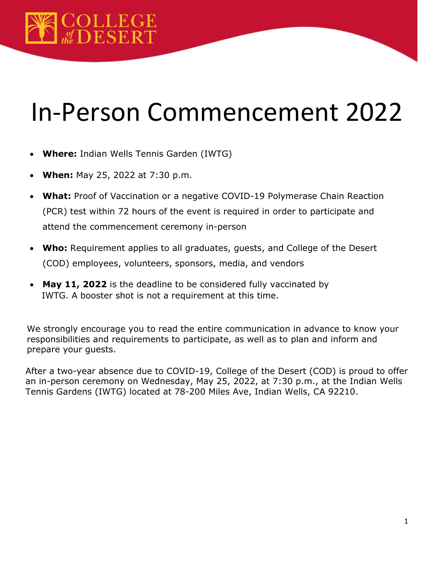# In-Person Commencement 2022

- **Where:** Indian Wells Tennis Garden (IWTG)
- **When:** May 25, 2022 at 7:30 p.m.
- **What:** Proof of Vaccination or a negative COVID-19 Polymerase Chain Reaction (PCR) test within 72 hours of the event is required in order to participate and attend the commencement ceremony in-person
- **Who:** Requirement applies to all graduates, guests, and College of the Desert (COD) employees, volunteers, sponsors, media, and vendors
- **May 11, 2022** is the deadline to be considered fully vaccinated by IWTG. A booster shot is not a requirement at this time.

We strongly encourage you to read the entire communication in advance to know your responsibilities and requirements to participate, as well as to plan and inform and prepare your guests.

After a two-year absence due to COVID-19, College of the Desert (COD) is proud to offer an in-person ceremony on Wednesday, May 25, 2022, at 7:30 p.m., at the Indian Wells Tennis Gardens (IWTG) located at 78-200 Miles Ave, Indian Wells, CA 92210.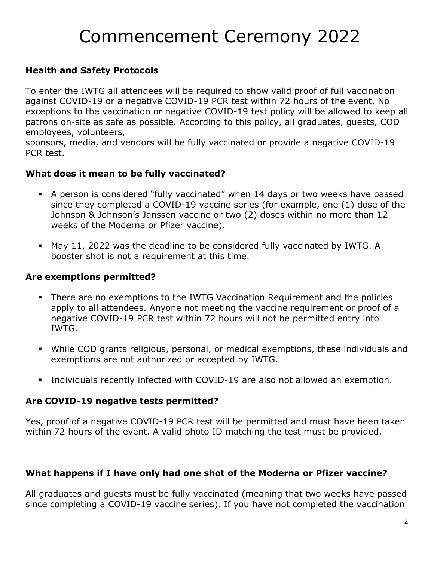# Commencement Ceremony 2022

### **Health and Safety Protocols**

To enter the IWTG all attendees will be required to show valid proof of full vaccination against COVID-19 or a negative COVID-19 PCR test within 72 hours of the event. No exceptions to the vaccination or negative COVID-19 test policy will be allowed to keep all patrons on-site as safe as possible. According to this policy, all graduates, guests, COD employees, volunteers,

sponsors, media, and vendors will be fully vaccinated or provide a negative COVID-19 PCR test.

#### **What does it mean to be fully vaccinated?**

- A person is considered "fully vaccinated" when 14 days or two weeks have passed since they completed a COVID-19 vaccine series (for example, one (1) dose of the Johnson & Johnson's Janssen vaccine or two (2) doses within no more than 12 weeks of the Moderna or Pfizer vaccine).
- May 11, 2022 was the deadline to be considered fully vaccinated by IWTG. A booster shot is not a requirement at this time.

#### **Are exemptions permitted?**

- There are no exemptions to the IWTG Vaccination Requirement and the policies apply to all attendees. Anyone not meeting the vaccine requirement or proof of a negative COVID-19 PCR test within 72 hours will not be permitted entry into IWTG.
- While COD grants religious, personal, or medical exemptions, these individuals and exemptions are not authorized or accepted by IWTG.
- Individuals recently infected with COVID-19 are also not allowed an exemption.

#### **Are COVID-19 negative tests permitted?**

Yes, proof of a negative COVID-19 PCR test will be permitted and must have been taken within 72 hours of the event. A valid photo ID matching the test must be provided.

#### **What happens if I have only had one shot of the Moderna or Pfizer vaccine?**

All graduates and guests must be fully vaccinated (meaning that two weeks have passed since completing a COVID-19 vaccine series). If you have not completed the vaccination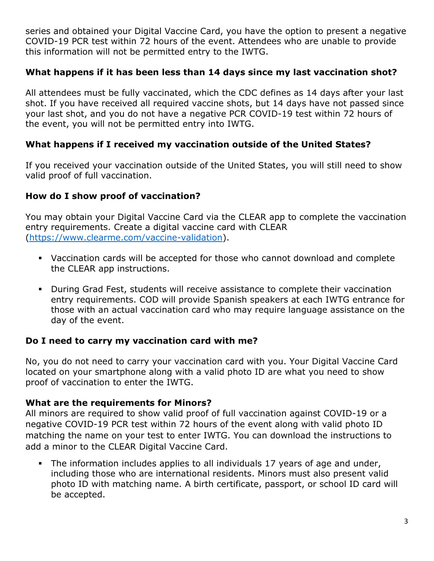series and obtained your Digital Vaccine Card, you have the option to present a negative COVID-19 PCR test within 72 hours of the event. Attendees who are unable to provide this information will not be permitted entry to the IWTG.

#### **What happens if it has been less than 14 days since my last vaccination shot?**

All attendees must be fully vaccinated, which the CDC defines as 14 days after your last shot. If you have received all required vaccine shots, but 14 days have not passed since your last shot, and you do not have a negative PCR COVID-19 test within 72 hours of the event, you will not be permitted entry into IWTG.

#### **What happens if I received my vaccination outside of the United States?**

If you received your vaccination outside of the United States, you will still need to show valid proof of full vaccination.

#### **How do I show proof of vaccination?**

You may obtain your Digital Vaccine Card via the CLEAR app to complete the vaccination entry requirements. Create a digital vaccine card with CLEAR [\(https://www.clearme.com/vaccine-validation\)](https://www.clearme.com/vaccine-validation).

- Vaccination cards will be accepted for those who cannot download and complete the CLEAR app instructions.
- During Grad Fest, students will receive assistance to complete their vaccination entry requirements. COD will provide Spanish speakers at each IWTG entrance for those with an actual vaccination card who may require language assistance on the day of the event.

#### **Do I need to carry my vaccination card with me?**

No, you do not need to carry your vaccination card with you. Your Digital Vaccine Card located on your smartphone along with a valid photo ID are what you need to show proof of vaccination to enter the IWTG.

#### **What are the requirements for Minors?**

All minors are required to show valid proof of full vaccination against COVID-19 or a negative COVID-19 PCR test within 72 hours of the event along with valid photo ID matching the name on your test to enter IWTG. You can download the instructions to add a minor to the CLEAR Digital Vaccine Card.

 The information includes applies to all individuals 17 years of age and under, including those who are international residents. Minors must also present valid photo ID with matching name. A birth certificate, passport, or school ID card will be accepted.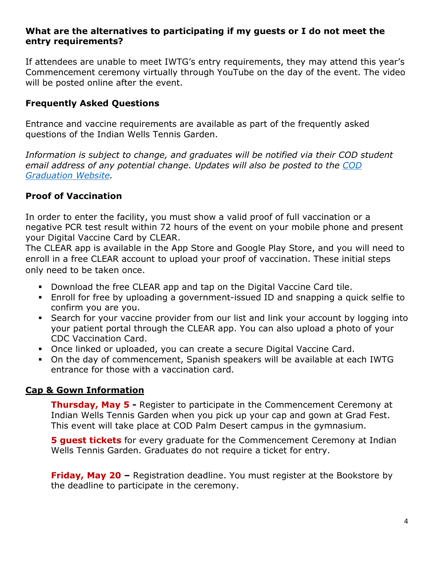#### **What are the alternatives to participating if my guests or I do not meet the entry requirements?**

If attendees are unable to meet IWTG's entry requirements, they may attend this year's Commencement ceremony virtually through YouTube on the day of the event. The video will be posted online after the event.

### **Frequently Asked Questions**

Entrance and vaccine requirements are available as part of the frequently asked questions of the Indian Wells Tennis Garden.

*Information is subject to change, and graduates will be notified via their COD student email address of any potential change. Updates will also be posted to the [COD](https://www.collegeofthedesert.edu/students/admissions/graduation.php)  [Graduation Website.](https://www.collegeofthedesert.edu/students/admissions/graduation.php)* 

# **Proof of Vaccination**

In order to enter the facility, you must show a valid proof of full vaccination or a negative PCR test result within 72 hours of the event on your mobile phone and present your Digital Vaccine Card by CLEAR.

The CLEAR app is available in the App Store and Google Play Store, and you will need to enroll in a free CLEAR account to upload your proof of vaccination. These initial steps only need to be taken once.

- Download the free CLEAR app and tap on the Digital Vaccine Card tile.
- Enroll for free by uploading a government-issued ID and snapping a quick selfie to confirm you are you.
- Search for your vaccine provider from our list and link your account by logging into your patient portal through the CLEAR app. You can also upload a photo of your CDC Vaccination Card.
- Once linked or uploaded, you can create a secure Digital Vaccine Card.
- On the day of commencement, Spanish speakers will be available at each IWTG entrance for those with a vaccination card.

#### **Cap & Gown Information**

**Thursday, May 5 -** Register to participate in the Commencement Ceremony at Indian Wells Tennis Garden when you pick up your cap and gown at Grad Fest. This event will take place at COD Palm Desert campus in the gymnasium.

**5 guest tickets** for every graduate for the Commencement Ceremony at Indian Wells Tennis Garden. Graduates do not require a ticket for entry.

**Friday, May 20 –** Registration deadline. You must register at the Bookstore by the deadline to participate in the ceremony.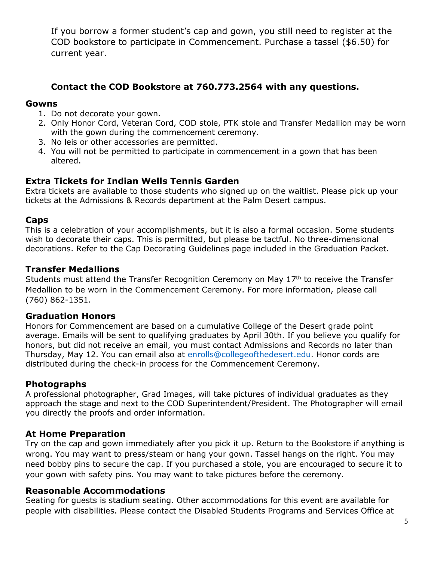If you borrow a former student's cap and gown, you still need to register at the COD bookstore to participate in Commencement. Purchase a tassel (\$6.50) for current year.

### **Contact the COD Bookstore at 760.773.2564 with any questions.**

#### **Gowns**

- 1. Do not decorate your gown.
- 2. Only Honor Cord, Veteran Cord, COD stole, PTK stole and Transfer Medallion may be worn with the gown during the commencement ceremony.
- 3. No leis or other accessories are permitted.
- 4. You will not be permitted to participate in commencement in a gown that has been altered.

#### **Extra Tickets for Indian Wells Tennis Garden**

Extra tickets are available to those students who signed up on the waitlist. Please pick up your tickets at the Admissions & Records department at the Palm Desert campus.

#### **Caps**

This is a celebration of your accomplishments, but it is also a formal occasion. Some students wish to decorate their caps. This is permitted, but please be tactful. No three-dimensional decorations. Refer to the Cap Decorating Guidelines page included in the Graduation Packet.

#### **Transfer Medallions**

Students must attend the Transfer Recognition Ceremony on May 17<sup>th</sup> to receive the Transfer Medallion to be worn in the Commencement Ceremony. For more information, please call (760) 862-1351.

#### **Graduation Honors**

Honors for Commencement are based on a cumulative College of the Desert grade point average. Emails will be sent to qualifying graduates by April 30th. If you believe you qualify for honors, but did not receive an email, you must contact Admissions and Records no later than Thursday, May 12. You can email also at [enrolls@collegeofthedesert.edu.](mailto:enrolls@collegeofthedesert.edu) Honor cords are distributed during the check-in process for the Commencement Ceremony.

#### **Photographs**

A professional photographer, Grad Images, will take pictures of individual graduates as they approach the stage and next to the COD Superintendent/President. The Photographer will email you directly the proofs and order information.

#### **At Home Preparation**

Try on the cap and gown immediately after you pick it up. Return to the Bookstore if anything is wrong. You may want to press/steam or hang your gown. Tassel hangs on the right. You may need bobby pins to secure the cap. If you purchased a stole, you are encouraged to secure it to your gown with safety pins. You may want to take pictures before the ceremony.

#### **Reasonable Accommodations**

Seating for guests is stadium seating. Other accommodations for this event are available for people with disabilities. Please contact the Disabled Students Programs and Services Office at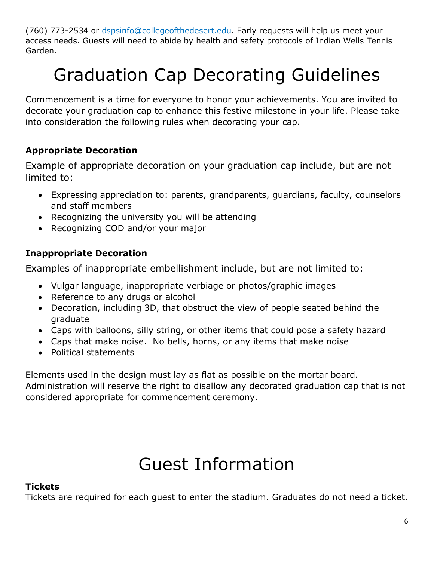(760) 773-2534 or [dspsinfo@collegeofthedesert.edu.](mailto:dspsinfo@collegeofthedesert.edu) Early requests will help us meet your access needs. Guests will need to abide by health and safety protocols of Indian Wells Tennis Garden.

# Graduation Cap Decorating Guidelines

Commencement is a time for everyone to honor your achievements. You are invited to decorate your graduation cap to enhance this festive milestone in your life. Please take into consideration the following rules when decorating your cap.

# **Appropriate Decoration**

Example of appropriate decoration on your graduation cap include, but are not limited to:

- Expressing appreciation to: parents, grandparents, guardians, faculty, counselors and staff members
- Recognizing the university you will be attending
- Recognizing COD and/or your major

# **Inappropriate Decoration**

Examples of inappropriate embellishment include, but are not limited to:

- Vulgar language, inappropriate verbiage or photos/graphic images
- Reference to any drugs or alcohol
- Decoration, including 3D, that obstruct the view of people seated behind the graduate
- Caps with balloons, silly string, or other items that could pose a safety hazard
- Caps that make noise. No bells, horns, or any items that make noise
- Political statements

Elements used in the design must lay as flat as possible on the mortar board. Administration will reserve the right to disallow any decorated graduation cap that is not considered appropriate for commencement ceremony.

# Guest Information

#### **Tickets**

Tickets are required for each guest to enter the stadium. Graduates do not need a ticket.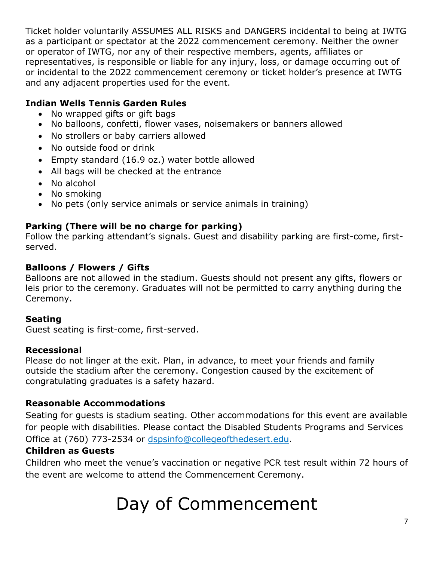Ticket holder voluntarily ASSUMES ALL RISKS and DANGERS incidental to being at IWTG as a participant or spectator at the 2022 commencement ceremony. Neither the owner or operator of IWTG, nor any of their respective members, agents, affiliates or representatives, is responsible or liable for any injury, loss, or damage occurring out of or incidental to the 2022 commencement ceremony or ticket holder's presence at IWTG and any adjacent properties used for the event.

# **Indian Wells Tennis Garden Rules**

- No wrapped gifts or gift bags
- No balloons, confetti, flower vases, noisemakers or banners allowed
- No strollers or baby carriers allowed
- No outside food or drink
- Empty standard (16.9 oz.) water bottle allowed
- All bags will be checked at the entrance
- No alcohol
- No smoking
- No pets (only service animals or service animals in training)

# **Parking (There will be no charge for parking)**

Follow the parking attendant's signals. Guest and disability parking are first-come, firstserved.

### **Balloons / Flowers / Gifts**

Balloons are not allowed in the stadium. Guests should not present any gifts, flowers or leis prior to the ceremony. Graduates will not be permitted to carry anything during the Ceremony.

#### **Seating**

Guest seating is first-come, first-served.

#### **Recessional**

Please do not linger at the exit. Plan, in advance, to meet your friends and family outside the stadium after the ceremony. Congestion caused by the excitement of congratulating graduates is a safety hazard.

#### **Reasonable Accommodations**

Seating for guests is stadium seating. Other accommodations for this event are available for people with disabilities. Please contact the Disabled Students Programs and Services Office at (760) 773-2534 or [dspsinfo@collegeofthedesert.edu.](mailto:dspsinfo@collegeofthedesert.edu)

# **Children as Guests**

Children who meet the venue's vaccination or negative PCR test result within 72 hours of the event are welcome to attend the Commencement Ceremony.

# Day of Commencement